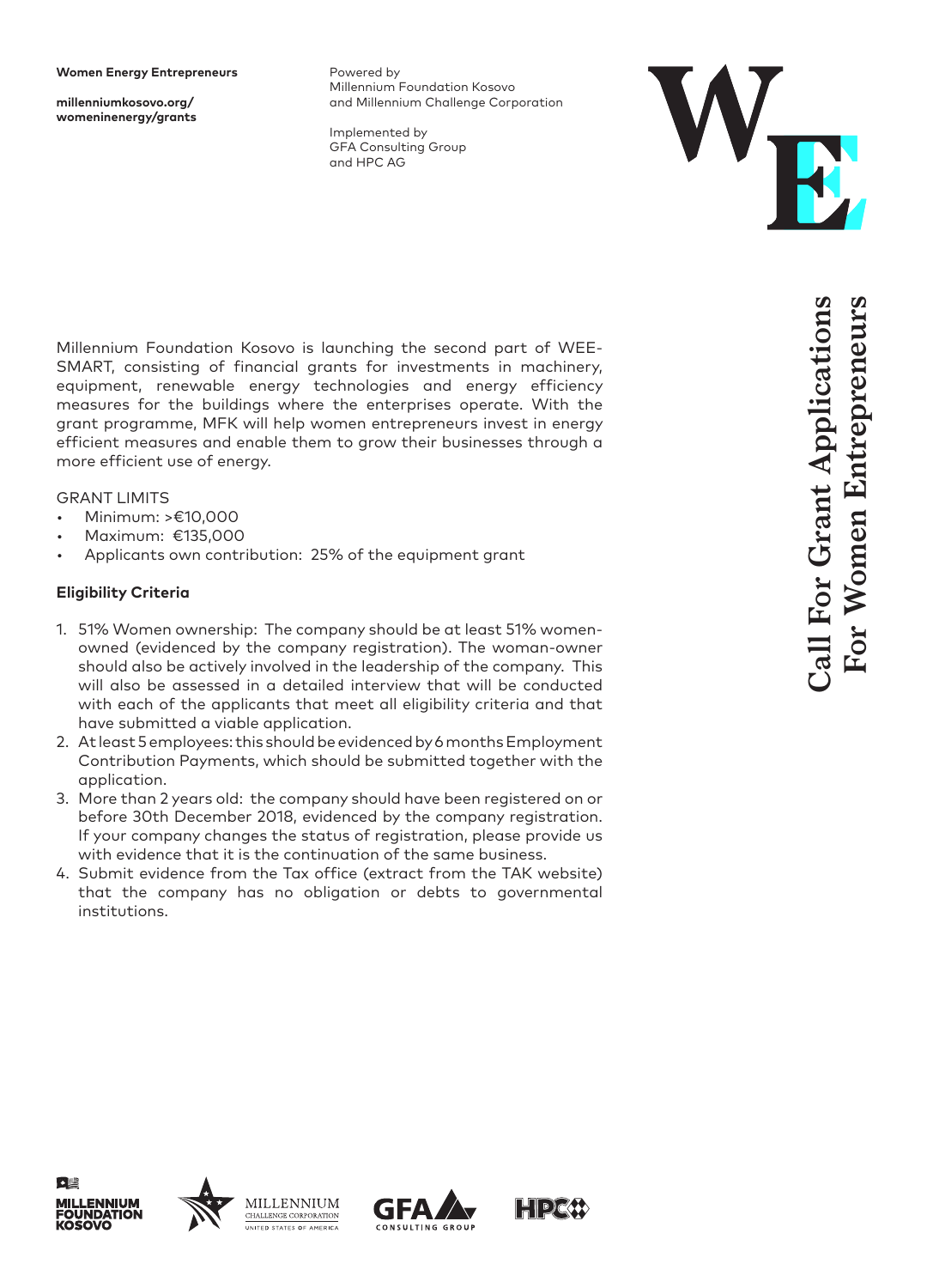**millenniumkosovo.org/ womeninenergy/grants** Powered by Millennium Foundation Kosovo and Millennium Challenge Corporation

Implemented by GFA Consulting Group and HPC AG



Millennium Foundation Kosovo is launching the second part of WEE-SMART, consisting of financial grants for investments in machinery, equipment, renewable energy technologies and energy efficiency measures for the buildings where the enterprises operate. With the grant programme, MFK will help women entrepreneurs invest in energy efficient measures and enable them to grow their businesses through a more efficient use of energy.

#### GRANT LIMITS

- Minimum: >€10,000
- Maximum: €135,000
- Applicants own contribution: 25% of the equipment grant

## **Eligibility Criteria**

- 1. 51% Women ownership: The company should be at least 51% womenowned (evidenced by the company registration). The woman-owner should also be actively involved in the leadership of the company. This will also be assessed in a detailed interview that will be conducted with each of the applicants that meet all eligibility criteria and that have submitted a viable application.
- 2. At least 5 employees: this should be evidenced by 6 months Employment Contribution Payments, which should be submitted together with the application.
- 3. More than 2 years old: the company should have been registered on or before 30th December 2018, evidenced by the company registration. If your company changes the status of registration, please provide us with evidence that it is the continuation of the same business.
- 4. Submit evidence from the Tax office (extract from the TAK website) that the company has no obligation or debts to governmental institutions.





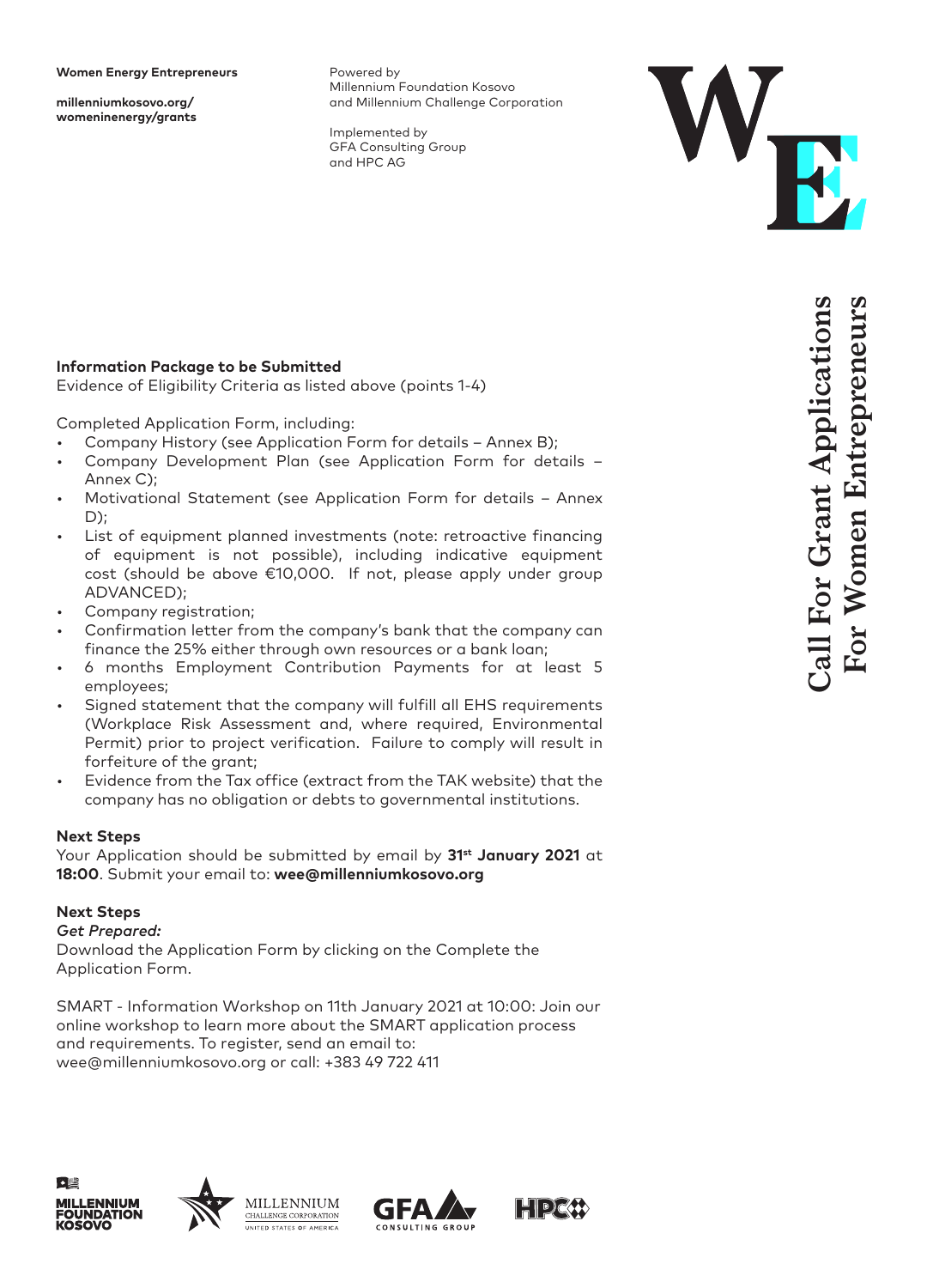**millenniumkosovo.org/ womeninenergy/grants** Powered by Millennium Foundation Kosovo and Millennium Challenge Corporation

Implemented by GFA Consulting Group and HPC AG



# **Information Package to be Submitted**

Evidence of Eligibility Criteria as listed above (points 1-4)

Completed Application Form, including:

- Company History (see Application Form for details Annex B);
- Company Development Plan (see Application Form for details Annex C);
- Motivational Statement (see Application Form for details Annex D);
- List of equipment planned investments (note: retroactive financing of equipment is not possible), including indicative equipment cost (should be above €10,000. If not, please apply under group ADVANCED);
- Company registration;
- Confirmation letter from the company's bank that the company can finance the 25% either through own resources or a bank loan;
- 6 months Employment Contribution Payments for at least 5 employees;
- Signed statement that the company will fulfill all EHS requirements (Workplace Risk Assessment and, where required, Environmental Permit) prior to project verification. Failure to comply will result in forfeiture of the grant;
- Evidence from the Tax office (extract from the TAK website) that the company has no obligation or debts to governmental institutions.

#### **Next Steps**

Your Application should be submitted by email by **31st January 2021** at **18:00**. Submit your email to: **wee@millenniumkosovo.org**

## **Next Steps**

*Get Prepared:*

Download the Application Form by clicking on the Complete the Application Form.

SMART - Information Workshop on 11th January 2021 at 10:00: Join our online workshop to learn more about the SMART application process and requirements. To register, send an email to: wee@millenniumkosovo.org or call: +383 49 722 411







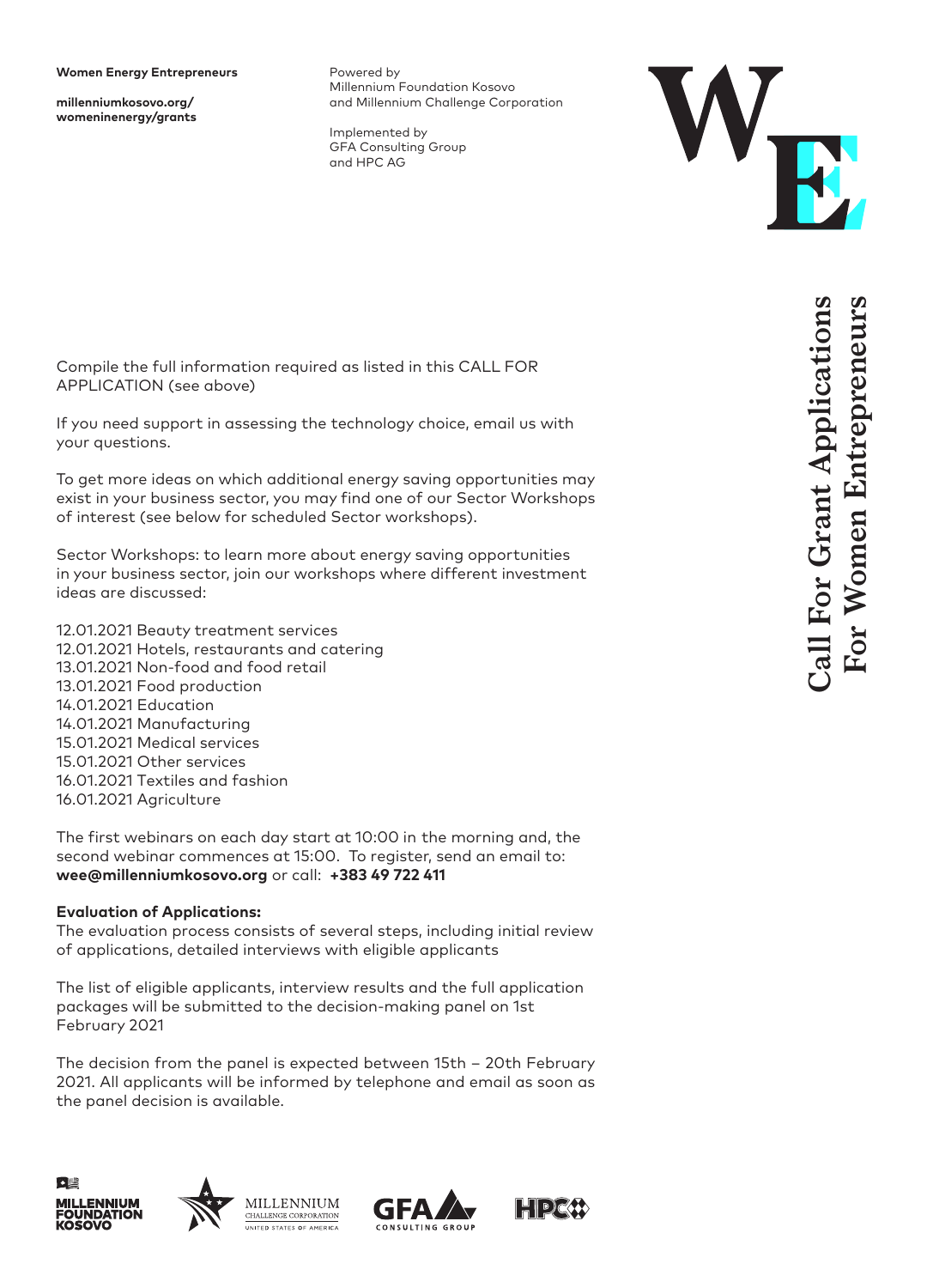**millenniumkosovo.org/ womeninenergy/grants** Powered by Millennium Foundation Kosovo and Millennium Challenge Corporation

Implemented by GFA Consulting Group and HPC AG



Compile the full information required as listed in this CALL FOR APPLICATION (see above)

If you need support in assessing the technology choice, email us with your questions.

To get more ideas on which additional energy saving opportunities may exist in your business sector, you may find one of our Sector Workshops of interest (see below for scheduled Sector workshops).

Sector Workshops: to learn more about energy saving opportunities in your business sector, join our workshops where different investment ideas are discussed:

12.01.2021 Beauty treatment services 12.01.2021 Hotels, restaurants and catering 13.01.2021 Non-food and food retail 13.01.2021 Food production 14.01.2021 Education 14.01.2021 Manufacturing 15.01.2021 Medical services 15.01.2021 Other services 16.01.2021 Textiles and fashion 16.01.2021 Agriculture

The first webinars on each day start at 10:00 in the morning and, the second webinar commences at 15:00. To register, send an email to: **wee@millenniumkosovo.org** or call: **+383 49 722 411**

#### **Evaluation of Applications:**

The evaluation process consists of several steps, including initial review of applications, detailed interviews with eligible applicants

The list of eligible applicants, interview results and the full application packages will be submitted to the decision-making panel on 1st February 2021

The decision from the panel is expected between 15th – 20th February 2021. All applicants will be informed by telephone and email as soon as the panel decision is available.